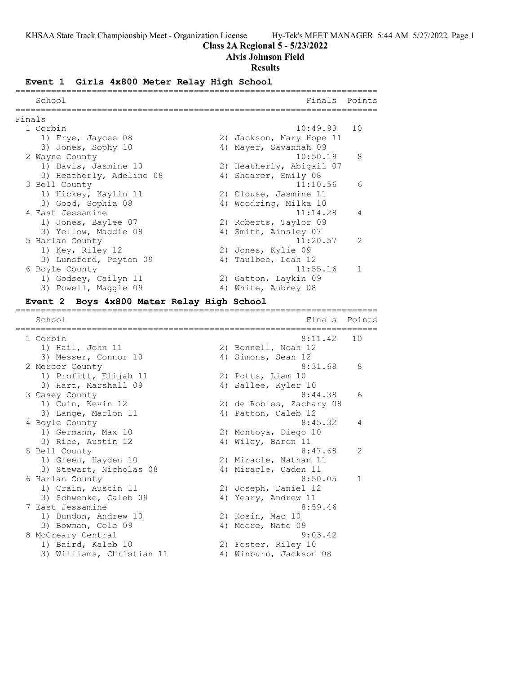# **Class 2A Regional 5 - 5/23/2022**

## **Alvis Johnson Field**

#### **Results**

# **Event 1 Girls 4x800 Meter Relay High School**

|        | School                   |    | Finals                   | Points         |
|--------|--------------------------|----|--------------------------|----------------|
| Finals |                          |    |                          |                |
|        | 1 Corbin                 |    | $10:49.93$ 10            |                |
|        | 1) Frye, Jaycee 08       |    | 2) Jackson, Mary Hope 11 |                |
|        | 3) Jones, Sophy 10       |    | 4) Mayer, Savannah 09    |                |
|        | 2 Wayne County           |    | 10:50.19                 | 8              |
|        | 1) Davis, Jasmine 10     |    | 2) Heatherly, Abigail 07 |                |
|        | 3) Heatherly, Adeline 08 |    | 4) Shearer, Emily 08     |                |
|        | 3 Bell County            |    | 11:10.56                 | 6              |
|        | 1) Hickey, Kaylin 11     |    | 2) Clouse, Jasmine 11    |                |
|        | 3) Good, Sophia 08       |    | 4) Woodring, Milka 10    |                |
|        | 4 East Jessamine         |    | 11:14.28                 | $\overline{4}$ |
|        | 1) Jones, Baylee 07      |    | 2) Roberts, Taylor 09    |                |
|        | 3) Yellow, Maddie 08     |    | 4) Smith, Ainsley 07     |                |
|        | 5 Harlan County          |    | 11:20.57                 | 2              |
|        | 1) Key, Riley 12         |    | 2) Jones, Kylie 09       |                |
|        | 3) Lunsford, Peyton 09   |    | 4) Taulbee, Leah 12      |                |
|        | 6 Boyle County           |    | 11:55.16                 | $\mathbf{1}$   |
|        | 1) Godsey, Cailyn 11     |    | 2) Gatton, Laykin 09     |                |
|        | 3) Powell, Maggie 09     | 4) | White, Aubrey 08         |                |

#### **Event 2 Boys 4x800 Meter Relay High School** =======================================================================

| School                    |    | Finals                   | Points        |
|---------------------------|----|--------------------------|---------------|
| 1 Corbin                  |    | 8:11.42                  | 10            |
| 1) Hail, John 11          |    | 2) Bonnell, Noah 12      |               |
| 3) Messer, Connor 10      |    | 4) Simons, Sean 12       |               |
| 2 Mercer County           |    | 8:31.68                  | 8             |
| 1) Profitt, Elijah 11     |    | 2) Potts, Liam 10        |               |
| 3) Hart, Marshall 09      |    | 4) Sallee, Kyler 10      |               |
| 3 Casey County            |    | 8:44.38                  | 6             |
| 1) Cuin, Kevin 12         |    | 2) de Robles, Zachary 08 |               |
| 3) Lange, Marlon 11       |    | 4) Patton, Caleb 12      |               |
| 4 Boyle County            |    | 8:45.32                  | 4             |
| 1) Germann, Max 10        |    | 2) Montoya, Diego 10     |               |
| 3) Rice, Austin 12        | 4) | Wiley, Baron 11          |               |
| 5 Bell County             |    | 8:47.68                  | $\mathcal{L}$ |
| 1) Green, Hayden 10       |    | 2) Miracle, Nathan 11    |               |
| 3) Stewart, Nicholas 08   |    | 4) Miracle, Caden 11     |               |
| 6 Harlan County           |    | 8:50.05                  | $\mathbf{1}$  |
| 1) Crain, Austin 11       |    | 2) Joseph, Daniel 12     |               |
| 3) Schwenke, Caleb 09     |    | 4) Yeary, Andrew 11      |               |
| 7 East Jessamine          |    | 8:59.46                  |               |
| 1) Dundon, Andrew 10      |    | 2) Kosin, Mac 10         |               |
| 3) Bowman, Cole 09        |    | 4) Moore, Nate 09        |               |
| 8 McCreary Central        |    | 9:03.42                  |               |
| 1) Baird, Kaleb 10        |    | 2) Foster, Riley 10      |               |
| 3) Williams, Christian 11 | 4) | Winburn, Jackson 08      |               |
|                           |    |                          |               |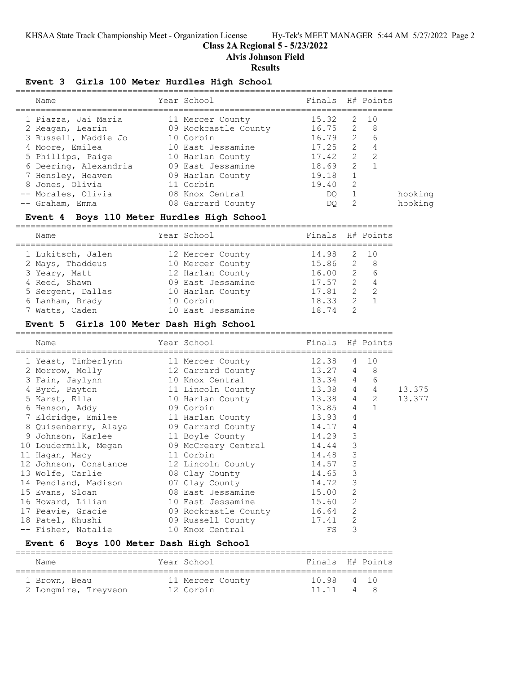## **Class 2A Regional 5 - 5/23/2022**

**Alvis Johnson Field**

#### **Results**

#### **Event 3 Girls 100 Meter Hurdles High School**

| Name                  | Year School          | Finals H# Points |                |                |
|-----------------------|----------------------|------------------|----------------|----------------|
| 1 Piazza, Jai Maria   | 11 Mercer County     | 15.32 2 10       |                |                |
| 2 Reagan, Learin      | 09 Rockcastle County | $16.75$ 2 8      |                |                |
| 3 Russell, Maddie Jo  | 10 Corbin            | 16.79            | $\overline{2}$ | 6              |
| 4 Moore, Emilea       | 10 East Jessamine    | 17.25            | $\overline{2}$ | $\overline{4}$ |
| 5 Phillips, Paige     | 10 Harlan County     | 17.42            | $\overline{2}$ | $\overline{2}$ |
| 6 Deering, Alexandria | 09 East Jessamine    | 18.69            | 2              | $\overline{1}$ |
| 7 Hensley, Heaven     | 09 Harlan County     | 19.18            | $\overline{1}$ |                |
| 8 Jones, Olivia       | 11 Corbin            | 19.40            | -2             |                |
| -- Morales, Olivia    | 08 Knox Central      | DO.              |                |                |
| -- Graham, Emma       | 08 Garrard County    | DO               | 2              |                |

#### **Event 4 Boys 110 Meter Hurdles High School**

========================================================================== Finals H# Points

| <b>Nalle</b>      | TAUT DUINNT       | L'INCIS U# LOTNIP |                |     |
|-------------------|-------------------|-------------------|----------------|-----|
| 1 Lukitsch, Jalen | 12 Mercer County  | 14.98 2 10        |                |     |
| 2 Mays, Thaddeus  | 10 Mercer County  | 15.86 2 8         |                |     |
| 3 Yeary, Matt     | 12 Harlan County  | 16.00             |                | 2 6 |
| 4 Reed, Shawn     | 09 East Jessamine | 17.57             |                | 2 4 |
| 5 Sergent, Dallas | 10 Harlan County  | 17.81             |                | 2 2 |
| 6 Lanham, Brady   | 10 Corbin         | 18.33             |                | 2 1 |
| 7 Watts, Caden    | 10 East Jessamine | 18.74             | $\overline{2}$ |     |

## **Event 5 Girls 100 Meter Dash High School**

==========================================================================

| Name                                                     | Year School Sandar         | Finals H# Points |                |                |        |
|----------------------------------------------------------|----------------------------|------------------|----------------|----------------|--------|
| 1 Yeast, Timberlynn 11 Mercer County                     |                            | 12.38            |                | 4 10           |        |
| 2 Morrow, Molly 32 Garrard County                        |                            | 13.27 4          |                | 8              |        |
| 3 Fain, Jaylynn 10 Knox Central 13.34 4                  |                            |                  |                | 6              |        |
| 4 Byrd, Payton                                           | 11 Lincoln County 13.38 4  |                  |                | $\overline{4}$ | 13.375 |
| 5 Karst, Ella (10 Harlan County 13.38 4 2                |                            |                  |                |                | 13.377 |
| 6 Henson, Addy 69 Corbin                                 | $13.85$ 4 1                |                  |                |                |        |
| 7 Eldridge, Emilee 11 Harlan County                      |                            | 13.93            | $\overline{4}$ |                |        |
| 8 Quisenberry, Alaya (1988) 68 Garrard County            |                            | 14.17            | 4              |                |        |
| 9 Johnson, Karlee 11 Boyle County                        | 14.29                      |                  | 3              |                |        |
| 10 Loudermilk, Megan 69 McCreary Central 14.44           |                            |                  | 3              |                |        |
| and 11 Corbin<br>11 Hagan, Macy                          | 14.48                      |                  | 3              |                |        |
| 12 Johnson, Constance 12 Lincoln County                  |                            | 14.57            | 3              |                |        |
| 13 Wolfe, Carlie 68 Clay County                          | 14.65                      |                  | 3              |                |        |
| 14 Pendland, Madison 67 Clay County                      |                            | 14.72            | 3              |                |        |
| 15 Evans, Sloan 68 East Jessamine 15.00                  |                            |                  | 2              |                |        |
| 16 Howard, Lilian                                        | 10 East Jessamine 15.60    |                  | 2              |                |        |
| 17 Peavie, Gracie                                        | 09 Rockcastle County 16.64 |                  | 2              |                |        |
| 18 Patel, Khushi                       09 Russell County |                            | 17.41            | 2              |                |        |
| -- Fisher, Natalie                                       | 10 Knox Central            | FS               | 3              |                |        |

### **Event 6 Boys 100 Meter Dash High School**

| Name                 | Year School      | Finals H# Points |    |
|----------------------|------------------|------------------|----|
| 1 Brown, Beau        | 11 Mercer County | 10.98 4 10       |    |
| 2 Longmire, Treyveon | 12 Corbin        | 11 11            | 48 |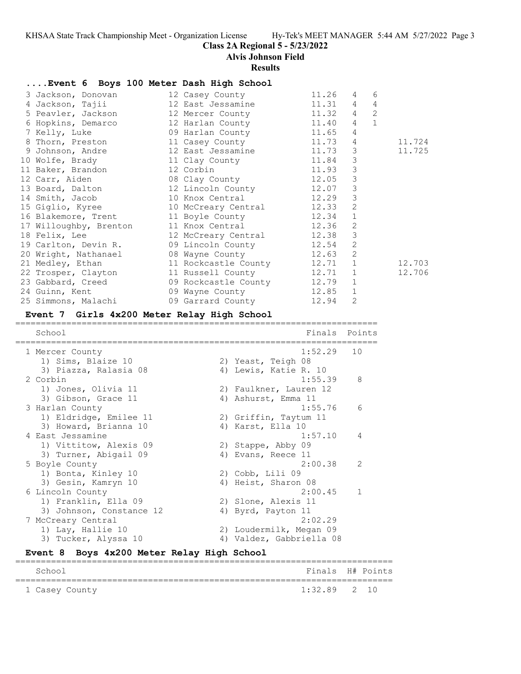#### **Class 2A Regional 5 - 5/23/2022**

**Alvis Johnson Field**

#### **Results**

## **....Event 6 Boys 100 Meter Dash High School**

| 3 Jackson, Donovan 12 Casey County 11.26                                 |  | $4\overline{ }$ | 6              |        |
|--------------------------------------------------------------------------|--|-----------------|----------------|--------|
| 4 Jackson, Tajii               12 East Jessamine               11.31   4 |  |                 | $\overline{4}$ |        |
| 5 Peavler, Jackson 12 Mercer County 11.32 4                              |  |                 | 2              |        |
| 6 Hopkins, Demarco 12 Harlan County 11.40                                |  | $4\overline{ }$ | $\mathbf{1}$   |        |
| 7 Kelly, Luke 11.65 4                                                    |  |                 |                |        |
| 8 Thorn, Preston 11 Casey County 11.73 4                                 |  |                 |                | 11.724 |
| 9 Johnson, Andre               12 East Jessamine             11.73     3 |  |                 |                | 11.725 |
| 10 Wolfe, Brady 11 Clay County 11.84 3                                   |  |                 |                |        |
| 11 Baker, Brandon 12 Corbin 11.93                                        |  | $\mathcal{S}$   |                |        |
| 12 Carr, Aiden 68 Clay County 12.05                                      |  | $\mathcal{S}$   |                |        |
| 13 Board, Dalton 12 Lincoln County 12.07                                 |  | $\mathcal{E}$   |                |        |
| 14 Smith, Jacob 10 Knox Central 12.29                                    |  | 3               |                |        |
| 15 Giglio, Kyree 10 McCreary Central 12.33 2                             |  |                 |                |        |
| 16 Blakemore, Trent 11 Boyle County 12.34                                |  | $\mathbf{1}$    |                |        |
| 17 Willoughby, Brenton 11 Knox Central 12.36                             |  | 2               |                |        |
| 18 Felix, Lee 12 McCreary Central 12.38                                  |  | $\mathcal{E}$   |                |        |
| 19 Carlton, Devin R. 09 Lincoln County 12.54                             |  | 2               |                |        |
| 20 Wright, Nathanael 08 Wayne County 12.63 2                             |  |                 |                |        |
| 21 Medley, Ethan 11 Rockcastle County 12.71 1                            |  |                 |                | 12.703 |
| 22 Trosper, Clayton 11 Russell County 12.71 1                            |  |                 |                | 12.706 |
| 23 Gabbard, Creed 69 Rockcastle County 12.79 1                           |  |                 |                |        |
| 24 Guinn, Kent 69 Wayne County 12.85 1                                   |  |                 |                |        |
| 25 Simmons, Malachi (09 Garrard County 12.94                             |  | 2               |                |        |

#### **Event 7 Girls 4x200 Meter Relay High School**

======================================================================= School **Finals** Points ======================================================================= 1 Mercer County 1:52.29 10 1) Sims, Blaize 10 2) Yeast, Teigh 08 3) Piazza, Ralasia 08 4) Lewis, Katie R. 10 2 Corbin 1:55.39 8 1) Jones, Olivia 11 2) Faulkner, Lauren 12 3) Gibson, Grace 11 4) Ashurst, Emma 11 3 Harlan County 1:55.76 6 1) Eldridge, Emilee 11 2) Griffin, Taytum 11 3) Howard, Brianna 10 4) Karst, Ella 10 4 East Jessamine 1:57.10 4 1) Vittitow, Alexis 09 2) Stappe, Abby 09 3) Turner, Abigail 09 (4) Evans, Reece 11 5 Boyle County 2:00.38 2 1) Bonta, Kinley 10 2) Cobb, Lili 09 3) Gesin, Kamryn 10 1940 Heist, Sharon 08 6 Lincoln County 2:00.45 1 1) Franklin, Ella 09 (2) Slone, Alexis 11 3) Johnson, Constance 12 (4) Byrd, Payton 11 7 McCreary Central 2:02.29 1) Lay, Hallie 10 2) Loudermilk, Megan 09 3) Tucker, Alyssa 10 4) Valdez, Gabbriella 08

#### **Event 8 Boys 4x200 Meter Relay High School** ==========================================================================

| School         | Finals H# Points |  |
|----------------|------------------|--|
| 1 Casey County | $1:32.89$ 2 10   |  |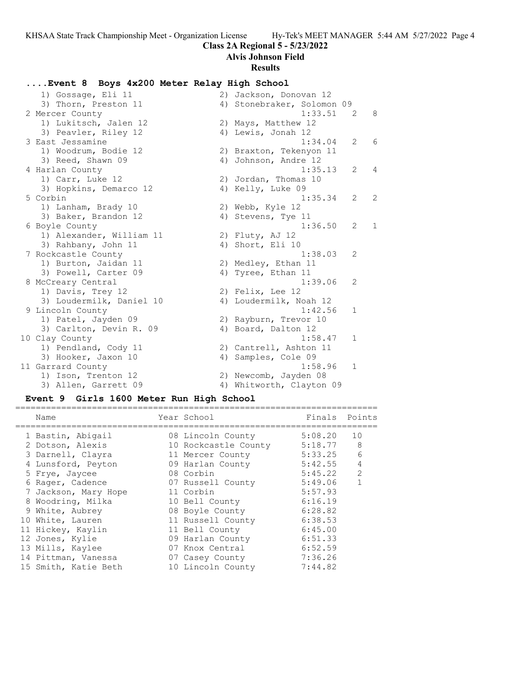# **Class 2A Regional 5 - 5/23/2022**

# **Alvis Johnson Field**

## **Results**

# **....Event 8 Boys 4x200 Meter Relay High School**

| 1) Gossage, Eli 11       | 2) Jackson, Donovan 12     |                |     |
|--------------------------|----------------------------|----------------|-----|
| 3) Thorn, Preston 11     | 4) Stonebraker, Solomon 09 |                |     |
| 2 Mercer County          | 1:33.51                    | $\overline{2}$ | - 8 |
| 1) Lukitsch, Jalen 12    | 2) Mays, Matthew 12        |                |     |
| 3) Peavler, Riley 12     | 4) Lewis, Jonah 12         |                |     |
| 3 East Jessamine         | 1:34.04                    | $\overline{2}$ | 6   |
| 1) Woodrum, Bodie 12     | 2) Braxton, Tekenyon 11    |                |     |
| 3) Reed, Shawn 09        | 4) Johnson, Andre 12       |                |     |
| 4 Harlan County          | 1:35.13                    | $\overline{2}$ | 4   |
| 1) Carr, Luke 12         | 2) Jordan, Thomas 10       |                |     |
| 3) Hopkins, Demarco 12   | 4) Kelly, Luke 09          |                |     |
| 5 Corbin                 | 1:35.34                    | $\overline{2}$ | 2   |
| 1) Lanham, Brady 10      | 2) Webb, Kyle 12           |                |     |
| 3) Baker, Brandon 12     | 4) Stevens, Tye 11         |                |     |
| 6 Boyle County           | 1:36.50                    | $\overline{2}$ | 1   |
| 1) Alexander, William 11 | 2) Fluty, AJ 12            |                |     |
| 3) Rahbany, John 11      | 4) Short, Eli 10           |                |     |
| 7 Rockcastle County      | 1:38.03                    | 2              |     |
| 1) Burton, Jaidan 11     | 2) Medley, Ethan 11        |                |     |
| 3) Powell, Carter 09     | 4) Tyree, Ethan 11         |                |     |
| 8 McCreary Central       | 1:39.06                    | 2              |     |
| 1) Davis, Trey 12        | 2) Felix, Lee 12           |                |     |
| 3) Loudermilk, Daniel 10 | 4) Loudermilk, Noah 12     |                |     |
| 9 Lincoln County         | 1:42.56                    | $\mathbf{1}$   |     |
| 1) Patel, Jayden 09      | 2) Rayburn, Trevor 10      |                |     |
| 3) Carlton, Devin R. 09  | 4) Board, Dalton 12        |                |     |
| 10 Clay County           | 1:58.47                    | $\mathbf 1$    |     |
| 1) Pendland, Cody 11     | 2) Cantrell, Ashton 11     |                |     |
| 3) Hooker, Jaxon 10      | 4) Samples, Cole 09        |                |     |
| 11 Garrard County        | 1:58.96                    | 1              |     |
| 1) Ison, Trenton 12      | 2) Newcomb, Jayden 08      |                |     |
| 3) Allen, Garrett 09     | 4) Whitworth, Clayton 09   |                |     |

# **Event 9 Girls 1600 Meter Run High School**

| Name                 | Year School          | Finals  | Points         |
|----------------------|----------------------|---------|----------------|
| 1 Bastin, Abigail    | 08 Lincoln County    | 5:08.20 | 10             |
| 2 Dotson, Alexis     | 10 Rockcastle County | 5:18.77 | 8              |
| 3 Darnell, Clayra    | 11 Mercer County     | 5:33.25 | 6              |
| 4 Lunsford, Peyton   | 09 Harlan County     | 5:42.55 | $\overline{4}$ |
| 5 Frye, Jaycee       | 08 Corbin            | 5:45.22 | $\mathcal{L}$  |
| 6 Rager, Cadence     | 07 Russell County    | 5:49.06 |                |
| 7 Jackson, Mary Hope | 11 Corbin            | 5:57.93 |                |
| 8 Woodring, Milka    | 10 Bell County       | 6:16.19 |                |
| 9 White, Aubrey      | 08 Boyle County      | 6:28.82 |                |
| 10 White, Lauren     | 11 Russell County    | 6:38.53 |                |
| 11 Hickey, Kaylin    | 11 Bell County       | 6:45.00 |                |
| 12 Jones, Kylie      | 09 Harlan County     | 6:51.33 |                |
| 13 Mills, Kaylee     | 07 Knox Central      | 6:52.59 |                |
| 14 Pittman, Vanessa  | 07 Casey County      | 7:36.26 |                |
| 15 Smith, Katie Beth | 10 Lincoln County    | 7:44.82 |                |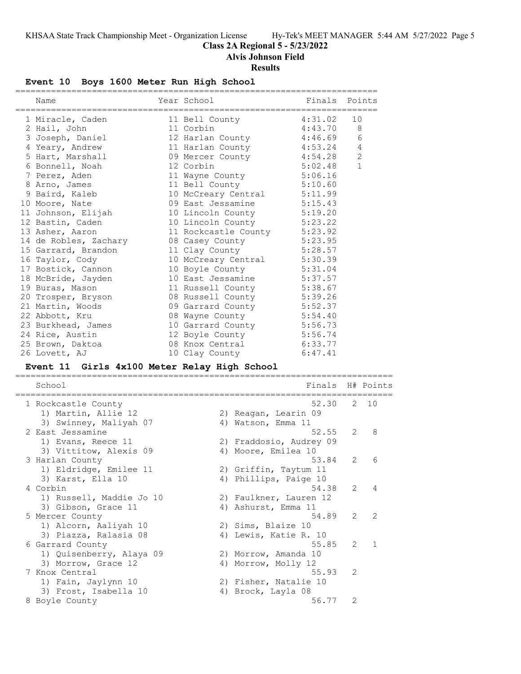**Class 2A Regional 5 - 5/23/2022**

**Alvis Johnson Field**

# **Results**

# **Event 10 Boys 1600 Meter Run High School**

| Name                                         | Year School            |                    | Finals                       |    | Points       |
|----------------------------------------------|------------------------|--------------------|------------------------------|----|--------------|
| 1 Miracle, Caden                             | 11 Bell County         |                    | 4:31.02                      | 10 |              |
| 2 Hail, John                                 | 11 Corbin              |                    | 4:43.70                      |    | 8            |
| 3 Joseph, Daniel                             | 12 Harlan County       |                    | 4:46.69                      |    | 6            |
| 4 Yeary, Andrew                              | 11 Harlan County       |                    | 4:53.24                      |    | 4            |
| 5 Hart, Marshall                             | 09 Mercer County       |                    | 4:54.28                      |    | $\mathbf{2}$ |
| 6 Bonnell, Noah                              | 12 Corbin              |                    | 5:02.48                      |    | 1            |
| 7 Perez, Aden                                | 11 Wayne County        |                    | 5:06.16                      |    |              |
| 8 Arno, James                                | 11 Bell County         |                    | 5:10.60                      |    |              |
| 9 Baird, Kaleb                               | 10 McCreary Central    |                    | 5:11.99                      |    |              |
| 10 Moore, Nate                               | 09 East Jessamine      |                    | 5:15.43                      |    |              |
| 11 Johnson, Elijah                           | 10 Lincoln County      |                    | 5:19.20                      |    |              |
| 12 Bastin, Caden                             | 10 Lincoln County      |                    | 5:23.22                      |    |              |
| 13 Asher, Aaron                              |                        |                    | 11 Rockcastle County 5:23.92 |    |              |
| 14 de Robles, Zachary                        | 08 Casey County        |                    | 5:23.95                      |    |              |
| 15 Garrard, Brandon                          | 11 Clay County         |                    | 5:28.57                      |    |              |
| 16 Taylor, Cody                              | 10 McCreary Central    |                    | 5:30.39                      |    |              |
| 17 Bostick, Cannon                           | 10 Boyle County        |                    | 5:31.04                      |    |              |
| 18 McBride, Jayden                           | 10 East Jessamine      |                    | 5:37.57                      |    |              |
| 19 Buras, Mason                              | 11 Russell County      |                    | 5:38.67                      |    |              |
| 20 Trosper, Bryson                           | 08 Russell County      |                    | 5:39.26                      |    |              |
| 21 Martin, Woods                             | 09 Garrard County      |                    | 5:52.37                      |    |              |
| 22 Abbott, Kru                               | 08 Wayne County        |                    | 5:54.40                      |    |              |
| 23 Burkhead, James                           |                        |                    | 10 Garrard County 5:56.73    |    |              |
| 24 Rice, Austin                              |                        |                    | 12 Boyle County 5:56.74      |    |              |
| 25 Brown, Daktoa                             | 08 Knox Central        |                    | 6:33.77                      |    |              |
| 26 Lovett, AJ                                | 10 Clay County         |                    | 6:47.41                      |    |              |
| Event 11 Girls 4x100 Meter Relay High School |                        |                    |                              |    |              |
| School                                       |                        |                    | Finals                       |    | H# Points    |
| 1 Rockcastle County                          | .===================== |                    | 52.30                        | 2  | 10           |
| 1) Martin, Allie 12                          |                        |                    | 2) Reagan, Learin 09         |    |              |
| 3) Swinney, Maliyah 07                       |                        | 4) Watson, Emma 11 |                              |    |              |
| 2 East Jessamine                             |                        |                    | 52.55                        | 2  | 8            |
| 1) Evans, Reece 11                           |                        |                    | 2) Fraddosio, Audrey 09      |    |              |
| 3) Vittitow, Alexis 09                       |                        |                    | 4) Moore, Emilea 10          |    |              |
| 3 Harlan County                              |                        |                    | 53.84                        | 2  | 6            |
| 1) Eldridge, Emilee 11                       |                        |                    | 2) Griffin, Taytum 11        |    |              |
| 3) Karst, Ella 10                            |                        |                    | 4) Phillips, Paige 10        |    |              |
| 4 Corbin                                     |                        |                    | 54.38                        | 2  | 4            |
| 1) Russell, Maddie Jo 10                     |                        |                    | 2) Faulkner, Lauren 12       |    |              |
| 3) Gibson, Grace 11                          |                        |                    | 4) Ashurst, Emma 11          |    |              |
| 5 Mercer County                              |                        |                    | 54.89                        | 2  | 2            |
| 1) Alcorn, Aaliyah 10                        |                        | 2) Sims, Blaize 10 |                              |    |              |
| 3) Piazza, Ralasia 08                        |                        |                    | 4) Lewis, Katie R. 10        |    |              |
| 6 Garrard County                             |                        |                    | 55.85                        | 2  | 1            |
| 1) Quisenberry, Alaya 09                     |                        |                    | 2) Morrow, Amanda 10         |    |              |
| 3) Morrow, Grace 12                          |                        |                    | 4) Morrow, Molly 12          |    |              |
| 7 Knox Central                               |                        |                    | 55.93                        | 2  |              |
| 1) Fain, Jaylynn 10                          |                        |                    | 2) Fisher, Natalie 10        |    |              |
| 3) Frost, Isabella 10                        |                        | 4) Brock, Layla 08 |                              |    |              |

8 Boyle County 56.77 2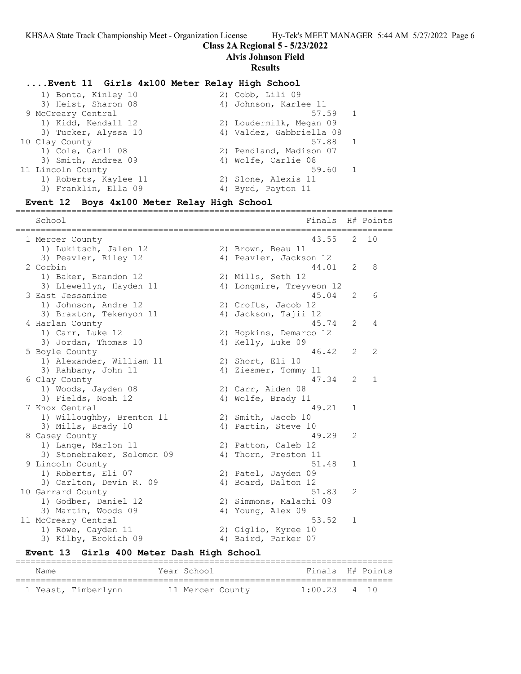## **Class 2A Regional 5 - 5/23/2022**

**Alvis Johnson Field**

#### **Results**

#### **....Event 11 Girls 4x100 Meter Relay High School**

| 1) Bonta, Kinley 10   | $2)$ Cobb, Lili 09       |
|-----------------------|--------------------------|
| 3) Heist, Sharon 08   | 4) Johnson, Karlee 11    |
| 9 McCreary Central    | 57.59 1                  |
| 1) Kidd, Kendall 12   | 2) Loudermilk, Megan 09  |
| 3) Tucker, Alyssa 10  | 4) Valdez, Gabbriella 08 |
| 10 Clay County        | 57.88<br>$\overline{1}$  |
| 1) Cole, Carli 08     | 2) Pendland, Madison 07  |
| 3) Smith, Andrea 09   | 4) Wolfe, Carlie 08      |
| 11 Lincoln County     | 59.60                    |
| 1) Roberts, Kaylee 11 | 2) Slone, Alexis 11      |
| 3) Franklin, Ella 09  | 4) Byrd, Payton 11       |

#### **Event 12 Boys 4x100 Meter Relay High School**

========================================================================== School Finals H# Points ========================================================================== 1 Mercer County 43.55 2 10 1) Lukitsch, Jalen 12 (2) Brown, Beau 11 3) Peavler, Riley 12 4) Peavler, Jackson 12 2 Corbin 44.01 2 8 1) Baker, Brandon 12 2) Mills, Seth 12 3) Llewellyn, Hayden 11 4) Longmire, Treyveon 12 3 East Jessamine 45.04 2 6 1) Johnson, Andre 12 2) Crofts, Jacob 12 3) Braxton, Tekenyon 11 (4) Jackson, Tajii 12 4 Harlan County 45.74 2 4 1) Carr, Luke 12 2) Hopkins, Demarco 12 3) Jordan, Thomas 10 4) Kelly, Luke 09 5 Boyle County 46.42 2 2 1) Alexander, William 11 2) Short, Eli 10 3) Rahbany, John 11 4) Ziesmer, Tommy 11 6 Clay County 47.34 2 1 1) Woods, Jayden 08 2) Carr, Aiden 08 3) Fields, Noah 12 4) Wolfe, Brady 11 7 Knox Central 49.21 1 1) Willoughby, Brenton 11 2) Smith, Jacob 10 3) Mills, Brady 10 (4) Partin, Steve 10 8 Casey County 49.29 2 1) Lange, Marlon 11 2) Patton, Caleb 12 3) Stonebraker, Solomon 09 (4) Thorn, Preston 11 9 Lincoln County 61.48 1 1) Roberts, Eli 07 (2) Patel, Jayden 09 3) Carlton, Devin R. 09 (4) Board, Dalton 12 10 Garrard County **51.83** 2 1) Godber, Daniel 12 2) Simmons, Malachi 09 3) Martin, Woods 09 4) Young, Alex 09 11 McCreary Central 53.52 1 1) Rowe, Cayden 11 2) Giglio, Kyree 10 1 International<br>1) Rowe, Cayden 11 (1998) 2) Giglio, Kyree 10<br>3) Kilby, Brokiah 09 (1998) 4) Baird, Parker 07

#### **Event 13 Girls 400 Meter Dash High School** ==========================================================================

| Name |                     | Year School      | Finals H# Points |  |
|------|---------------------|------------------|------------------|--|
|      | 1 Yeast, Timberlynn | 11 Mercer County | $1:00.23$ 4 10   |  |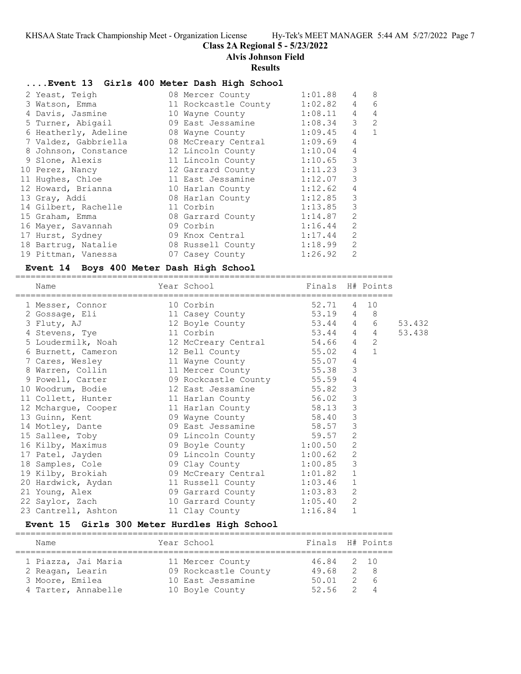## **Class 2A Regional 5 - 5/23/2022**

#### **Alvis Johnson Field**

#### **Results**

#### **....Event 13 Girls 400 Meter Dash High School**

| 2 Yeast, Teigh                                   | 08 Mercer County          | 1:01.88 | 4              | 8              |
|--------------------------------------------------|---------------------------|---------|----------------|----------------|
| 3 Watson, Emma                                   | 11 Rockcastle County      | 1:02.82 | 4              | 6              |
| 4 Davis, Jasmine                                 | 10 Wayne County 1:08.11   |         | $\overline{4}$ | 4              |
| 5 Turner, Abigail                                | 09 East Jessamine 1:08.34 |         | 3              | $\overline{2}$ |
| 6 Heatherly, Adeline                             | 08 Wayne County 1:09.45   |         | 4              | $\mathbf{1}$   |
| 7 Valdez, Gabbriella 68 McCreary Central 1:09.69 |                           |         | $\overline{4}$ |                |
| 8 Johnson, Constance                             | 12 Lincoln County         | 1:10.04 | $\overline{4}$ |                |
| 9 Slone, Alexis                                  | 11 Lincoln County         | 1:10.65 | 3              |                |
| 10 Perez, Nancy                                  | 12 Garrard County         | 1:11.23 | 3              |                |
| 11 Hughes, Chloe                                 | 11 East Jessamine         | 1:12.07 | 3              |                |
| 12 Howard, Brianna                               | 10 Harlan County          | 1:12.62 | 4              |                |
| 13 Gray, Addi                                    | 08 Harlan County          | 1:12.85 | 3              |                |
| 14 Gilbert, Rachelle                             | 11 Corbin                 | 1:13.85 | 3              |                |
| 15 Graham, Emma                                  | 08 Garrard County         | 1:14.87 | $\overline{2}$ |                |
| 16 Mayer, Savannah                               | 09 Corbin                 | 1:16.44 | $\overline{2}$ |                |
| 17 Hurst, Sydney                                 | 09 Knox Central           | 1:17.44 | $\overline{2}$ |                |
| 18 Bartrug, Natalie                              | 08 Russell County         | 1:18.99 | $\overline{2}$ |                |
| 19 Pittman, Vanessa                              | 07 Casey County           | 1:26.92 | $\overline{2}$ |                |

#### **Event 14 Boys 400 Meter Dash High School**

========================================================================== Year School Finals H# Points ========================================================================== 1 Messer, Connor 10 Corbin 52.71 4 10 2 Gossage, Eli 11 Casey County 53.19 4 8 3 Fluty, AJ 12 Boyle County 53.44 4 6 53.432 4 Stevens, Tye 11 Corbin 53.44 4 4 53.438 5 Loudermilk, Noah 12 McCreary Central 54.66 4 2 6 Burnett, Cameron 12 Bell County 55.02 4 1 7 Cares, Wesley 11 Wayne County 55.07 4 8 Warren, Collin 11 Mercer County 55.38 3 9 Powell, Carter 09 Rockcastle County 55.59 4 10 Woodrum, Bodie 12 East Jessamine 55.82 3 11 Collett, Hunter 11 Harlan County 56.02 3 12 Mchargue, Cooper 11 Harlan County 58.13 3 13 Guinn, Kent 09 Wayne County 58.40 3 14 Motley, Dante 09 East Jessamine 58.57 3 15 Sallee, Toby 09 Lincoln County 59.57 2

| 16 Kilby, Maximus   | 09 Boyle County     | 1:00.50 | $\overline{2}$ |
|---------------------|---------------------|---------|----------------|
| 17 Patel, Jayden    | 09 Lincoln County   | 1:00.62 | - 2            |
| 18 Samples, Cole    | 09 Clay County      | 1:00.85 | - 3            |
| 19 Kilby, Brokiah   | 09 McCreary Central | 1:01.82 | -1             |
| 20 Hardwick, Aydan  | 11 Russell County   | 1:03.46 | 1              |
| 21 Young, Alex      | 09 Garrard County   | 1:03.83 | - 2            |
| 22 Saylor, Zach     | 10 Garrard County   | 1:05.40 | - 2            |
| 23 Cantrell, Ashton | 11 Clay County      | 1:16.84 | 1              |
|                     |                     |         |                |

## **Event 15 Girls 300 Meter Hurdles High School**

| Name                                    | Year School                              | Finals H# Points           |     |
|-----------------------------------------|------------------------------------------|----------------------------|-----|
| 1 Piazza, Jai Maria<br>2 Reagan, Learin | 11 Mercer County<br>09 Rockcastle County | 46.84 2 10<br>49.68        | 2 8 |
| 3 Moore, Emilea<br>4 Tarter, Annabelle  | 10 East Jessamine<br>10 Boyle County     | $50.01$ 2 6<br>$52.56$ 2 4 |     |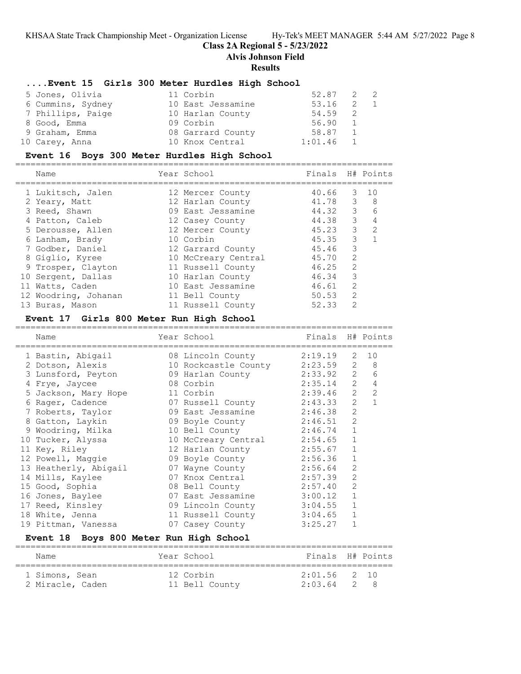#### **Class 2A Regional 5 - 5/23/2022**

**Alvis Johnson Field**

#### **Results**

#### **....Event 15 Girls 300 Meter Hurdles High School**

| 5 Jones, Olivia   | 11 Corbin         | 52.87 2 2 |              |  |
|-------------------|-------------------|-----------|--------------|--|
| 6 Cummins, Sydney | 10 East Jessamine | 53.16     | 2            |  |
| 7 Phillips, Paige | 10 Harlan County  | 54.59     |              |  |
| 8 Good, Emma      | 09 Corbin         | 56.90     | $\mathbf{1}$ |  |
| 9 Graham, Emma    | 08 Garrard County | 58.87     | 1            |  |
| 10 Carey, Anna    | 10 Knox Central   | 1:01.46   |              |  |

#### **Event 16 Boys 300 Meter Hurdles High School**

| Name                 | Year School         | Finals H# Points |                |                |
|----------------------|---------------------|------------------|----------------|----------------|
| 1 Lukitsch, Jalen    | 12 Mercer County    | 40.66            |                | $3 \quad 10$   |
| 2 Yeary, Matt        | 12 Harlan County    | 41.78 3          |                | - 8            |
| 3 Reed, Shawn        | 09 East Jessamine   | 44.32 3          |                | 6              |
| 4 Patton, Caleb      | 12 Casey County     | 44.38            | 3              | $\overline{4}$ |
| 5 Derousse, Allen    | 12 Mercer County    | 45.23            | $\mathbf{3}$   | $\overline{2}$ |
| 6 Lanham, Brady      | 10 Corbin           | 45.35            | 3              |                |
| 7 Godber, Daniel     | 12 Garrard County   | 45.46            | 3              |                |
| 8 Giglio, Kyree      | 10 McCreary Central | 45.70            | $\mathcal{L}$  |                |
| 9 Trosper, Clayton   | 11 Russell County   | 46.25            | $\mathcal{L}$  |                |
| 10 Sergent, Dallas   | 10 Harlan County    | 46.34            | 3              |                |
| 11 Watts, Caden      | 10 East Jessamine   | 46.61            | $\mathcal{L}$  |                |
| 12 Woodring, Johanan | 11 Bell County      | 50.53            | $\mathcal{L}$  |                |
| 13 Buras, Mason      | 11 Russell County   | 52.33            | $\mathfrak{D}$ |                |

#### **Event 17 Girls 800 Meter Run High School**

========================================================================== Name Year School Finals H# Points ========================================================================== 1 Bastin, Abigail 08 Lincoln County 2:19.19 2 10 2 Dotson, Alexis 10 Rockcastle County 2:23.59 2 8 3 Lunsford, Peyton 09 Harlan County 2:33.92 2 6 4 Frye, Jaycee 08 Corbin 2:35.14 2 4 5 Jackson, Mary Hope 11 Corbin 2:39.46 2 2 6 Rager, Cadence 07 Russell County 2:43.33 2 1 7 Roberts, Taylor 09 East Jessamine 2:46.38 2 8 Gatton, Laykin 09 Boyle County 2:46.51 2 9 Woodring, Milka 10 Bell County 2:46.74 1 10 Tucker, Alyssa 10 McCreary Central 2:54.65 1 11 Key, Riley 12 Harlan County 2:55.67 1 12 Powell, Maggie 09 Boyle County 2:56.36 1 13 Heatherly, Abigail 07 Wayne County 2:56.64 2 14 Mills, Kaylee 07 Knox Central 2:57.39 2 15 Good, Sophia 08 Bell County 2:57.40 2 16 Jones, Baylee 07 East Jessamine 3:00.12 1 17 Reed, Kinsley 09 Lincoln County 3:04.55 1 18 White, Jenna 11 Russell County 3:04.65 1 19 Pittman, Vanessa 07 Casey County 3:25.27 1

### **Event 18 Boys 800 Meter Run High School**

| Name             | Year School    | Finals H# Points |  |
|------------------|----------------|------------------|--|
| 1 Simons, Sean   | 12 Corbin      | $2:01.56$ 2 10   |  |
| 2 Miracle, Caden | 11 Bell County | $2:03.64$ 2 8    |  |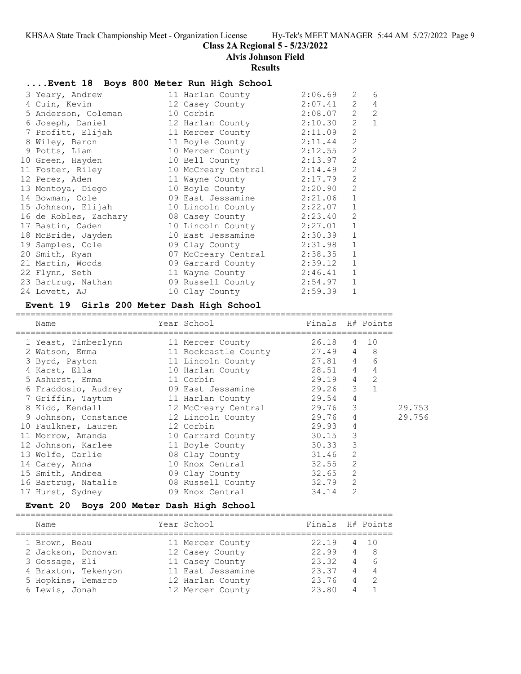### **Class 2A Regional 5 - 5/23/2022**

#### **Alvis Johnson Field**

#### **Results**

#### **....Event 18 Boys 800 Meter Run High School**

| 3 Yeary, Andrew                                | 11 Harlan County            | 2:06.69 | 2              | 6              |
|------------------------------------------------|-----------------------------|---------|----------------|----------------|
| 4 Cuin, Kevin                                  | 12 Casey County             | 2:07.41 | 2              | 4              |
| 5 Anderson, Coleman                            | 10 Corbin                   | 2:08.07 | $\overline{2}$ | $\overline{2}$ |
|                                                |                             |         | $\overline{2}$ | $\mathbf{1}$   |
| 7 Profitt, Elijah                              | 11 Mercer County            | 2:11.09 | $\overline{c}$ |                |
| 8 Wiley, Baron                                 | 11 Boyle County             | 2:11.44 | $\overline{2}$ |                |
| 9 Potts, Liam                                  | 10 Mercer County 2:12.55    |         | $\overline{2}$ |                |
| 10 Green, Hayden                               | 10 Bell County              | 2:13.97 | $\overline{2}$ |                |
| 11 Foster, Riley                               | 10 McCreary Central 2:14.49 |         | $\overline{c}$ |                |
| 12 Perez, Aden                                 | 11 Wayne County 2:17.79     |         | $\overline{2}$ |                |
| 13 Montoya, Diego                              | 10 Boyle County 2:20.90     |         | $\overline{2}$ |                |
| 14 Bowman, Cole                                | 09 East Jessamine 2:21.06   |         | $1\,$          |                |
| 15 Johnson, Elijah 10 Lincoln County 2:22.07   |                             |         | $1\,$          |                |
| 16 de Robles, Zachary (08 Casey County 2:23.40 |                             |         | $\overline{c}$ |                |
| 17 Bastin, Caden 10 Lincoln County 2:27.01     |                             |         | $1\,$          |                |
| 18 McBride, Jayden                             | 10 East Jessamine 2:30.39   |         | $\mathbf{1}$   |                |
| 19 Samples, Cole 69 Clay County 2:31.98        |                             |         | $1\,$          |                |
| 20 Smith, Ryan                                 | 07 McCreary Central 2:38.35 |         | $\mathbf 1$    |                |
| 21 Martin, Woods                               | 09 Garrard County 2:39.12   |         | $\mathbf{1}$   |                |
| 22 Flynn, Seth                                 | 11 Wayne County 2:46.41     |         | $\mathbf{1}$   |                |
| 23 Bartruq, Nathan                             | 09 Russell County 2:54.97   |         | $1\,$          |                |
| 24 Lovett, AJ                                  | 10 Clay County 2:59.39      |         | $\mathbf{1}$   |                |

#### **Event 19 Girls 200 Meter Dash High School**

========================================================================== Name Year School Finals H# Points ========================================================================== 1 Yeast, Timberlynn 11 Mercer County 26.18 4 10 2 Watson, Emma 11 Rockcastle County 27.49 4 8 3 Byrd, Payton 11 Lincoln County 27.81 4 6 4 Karst, Ella 10 Harlan County 28.51 4 4 5 Ashurst, Emma 11 Corbin 29.19 4 2 6 Fraddosio, Audrey 09 East Jessamine 29.26 3 1 7 Griffin, Taytum 11 Harlan County 29.54 4 8 Kidd, Kendall 12 McCreary Central 29.76 3 29.753 9 Johnson, Constance 12 Lincoln County 29.76 4 29.756 10 Faulkner, Lauren 12 Corbin 29.93 4 11 Morrow, Amanda 10 Garrard County 30.15 3 12 Johnson, Karlee 11 Boyle County 30.33 3 13 Wolfe, Carlie 08 Clay County 31.46 2 14 Carey, Anna 10 Knox Central 32.55 2 15 Smith, Andrea 09 Clay County 32.65 2 16 Bartrug, Natalie 08 Russell County 32.79 2 17 Hurst, Sydney 09 Knox Central 34.14 2

#### **Event 20 Boys 200 Meter Dash High School**

| Name                | Year School       | Finals H# Points |   |      |
|---------------------|-------------------|------------------|---|------|
| 1 Brown, Beau       | 11 Mercer County  | 22.19            |   | 4 10 |
| 2 Jackson, Donovan  | 12 Casey County   | 22.99            | 4 | - 8  |
| 3 Gossage, Eli      | 11 Casey County   | 23.32            | 4 | - 6  |
| 4 Braxton, Tekenyon | 11 East Jessamine | 23.37            | 4 | -4   |
| 5 Hopkins, Demarco  | 12 Harlan County  | 23.76            | 4 | -2   |
| 6 Lewis, Jonah      | 12 Mercer County  | 23.80            |   |      |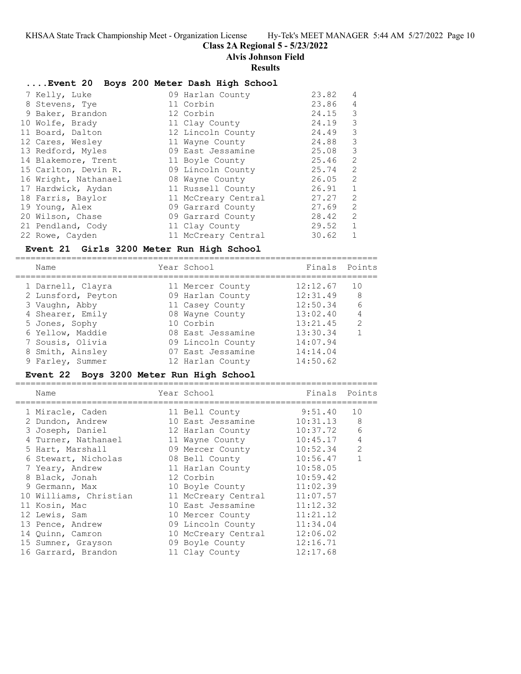# **Class 2A Regional 5 - 5/23/2022**

=======================================================================

**Alvis Johnson Field**

#### **Results**

#### **....Event 20 Boys 200 Meter Dash High School**

| 7 Kelly, Luke        | 09 Harlan County    | 23.82 | 4              |
|----------------------|---------------------|-------|----------------|
| 8 Stevens, Tye       | 11 Corbin           | 23.86 | $\overline{4}$ |
| 9 Baker, Brandon     | 12 Corbin           | 24.15 | 3              |
| 10 Wolfe, Brady      | 11 Clay County      | 24.19 | 3              |
| 11 Board, Dalton     | 12 Lincoln County   | 24.49 | 3              |
| 12 Cares, Wesley     | 11 Wayne County     | 24.88 | 3              |
| 13 Redford, Myles    | 09 East Jessamine   | 25.08 | 3              |
| 14 Blakemore, Trent  | 11 Boyle County     | 25.46 | 2              |
| 15 Carlton, Devin R. | 09 Lincoln County   | 25.74 | 2              |
| 16 Wright, Nathanael | 08 Wayne County     | 26.05 | 2              |
| 17 Hardwick, Aydan   | 11 Russell County   | 26.91 | $\mathbf{1}$   |
| 18 Farris, Baylor    | 11 McCreary Central | 27.27 | 2              |
| 19 Young, Alex       | 09 Garrard County   | 27.69 | 2              |
| 20 Wilson, Chase     | 09 Garrard County   | 28.42 | 2              |
| 21 Pendland, Cody    | 11 Clay County      | 29.52 | $\mathbf{1}$   |
| 22 Rowe, Cayden      | 11 McCreary Central | 30.62 | $\mathbf{1}$   |

### **Event 21 Girls 3200 Meter Run High School**

=======================================================================

| Name               | Year School       | Finals   | Points        |
|--------------------|-------------------|----------|---------------|
| 1 Darnell, Clayra  | 11 Mercer County  | 12:12.67 | 10            |
| 2 Lunsford, Peyton | 09 Harlan County  | 12:31.49 | 8             |
| 3 Vaughn, Abby     | 11 Casey County   | 12:50.34 | 6             |
| 4 Shearer, Emily   | 08 Wayne County   | 13:02.40 | 4             |
| 5 Jones, Sophy     | 10 Corbin         | 13:21.45 | $\mathcal{L}$ |
| 6 Yellow, Maddie   | 08 East Jessamine | 13:30.34 |               |
| 7 Sousis, Olivia   | 09 Lincoln County | 14:07.94 |               |
| 8 Smith, Ainsley   | 07 East Jessamine | 14:14.04 |               |
| 9 Farley, Summer   | 12 Harlan County  | 14:50.62 |               |

#### **Event 22 Boys 3200 Meter Run High School**

| Name                   | Year School         | Finals   | Points |
|------------------------|---------------------|----------|--------|
| 1 Miracle, Caden       | 11 Bell County      | 9:51.40  | 10     |
| 2 Dundon, Andrew       | 10 East Jessamine   | 10:31.13 | 8      |
| 3 Joseph, Daniel       | 12 Harlan County    | 10:37.72 | 6      |
| 4 Turner, Nathanael    | 11 Wayne County     | 10:45.17 | 4      |
| 5 Hart, Marshall       | 09 Mercer County    | 10:52.34 | 2      |
| 6 Stewart, Nicholas    | 08 Bell County      | 10:56.47 |        |
| 7 Yeary, Andrew        | 11 Harlan County    | 10:58.05 |        |
| 8 Black, Jonah         | 12 Corbin           | 10:59.42 |        |
| 9 Germann, Max         | 10 Boyle County     | 11:02.39 |        |
| 10 Williams, Christian | 11 McCreary Central | 11:07.57 |        |
| 11 Kosin, Mac          | 10 East Jessamine   | 11:12.32 |        |
| 12 Lewis, Sam          | 10 Mercer County    | 11:21.12 |        |
| 13 Pence, Andrew       | 09 Lincoln County   | 11:34.04 |        |
| 14 Ouinn, Camron       | 10 McCreary Central | 12:06.02 |        |
| 15 Sumner, Grayson     | 09 Boyle County     | 12:16.71 |        |
| 16 Garrard, Brandon    | 11 Clay County      | 12:17.68 |        |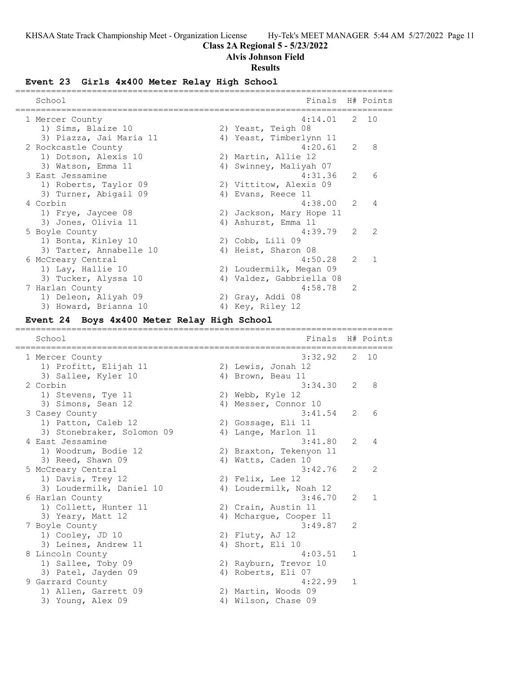# **Class 2A Regional 5 - 5/23/2022**

**Alvis Johnson Field**

## **Results**

# **Event 23 Girls 4x400 Meter Relay High School**

| School                                      | Finals                                     |                | H# Points   |
|---------------------------------------------|--------------------------------------------|----------------|-------------|
|                                             |                                            |                |             |
| 1 Mercer County                             | 4:14.01                                    | 2              | 10          |
| 1) Sims, Blaize 10                          | 2) Yeast, Teigh 08                         |                |             |
| 3) Piazza, Jai Maria 11                     | 4) Yeast, Timberlynn 11                    |                |             |
| 2 Rockcastle County                         | 4:20.61                                    | 2              | 8           |
| 1) Dotson, Alexis 10                        | 2) Martin, Allie 12                        |                |             |
| 3) Watson, Emma 11                          | 4) Swinney, Maliyah 07                     |                |             |
| 3 East Jessamine                            | 4:31.36                                    | 2.             | 6           |
| 1) Roberts, Taylor 09                       | 2) Vittitow, Alexis 09                     |                |             |
| 3) Turner, Abigail 09                       | 4) Evans, Reece 11                         |                |             |
| 4 Corbin                                    | 4:38.00                                    | 2              | 4           |
| 1) Frye, Jaycee 08                          | 2) Jackson, Mary Hope 11                   |                |             |
| 3) Jones, Olivia 11                         | 4) Ashurst, Emma 11                        |                |             |
| 5 Boyle County                              | 4:39.79                                    | 2              | 2           |
|                                             |                                            |                |             |
| 1) Bonta, Kinley 10                         | 2) Cobb, Lili 09                           |                |             |
| 3) Tarter, Annabelle 10                     | 4) Heist, Sharon 08                        |                |             |
| 6 McCreary Central                          | 4:50.28                                    | 2              | 1           |
| 1) Lay, Hallie 10                           | 2) Loudermilk, Megan 09                    |                |             |
| 3) Tucker, Alyssa 10                        | 4) Valdez, Gabbriella 08                   |                |             |
| 7 Harlan County                             | 4:58.78                                    | 2              |             |
| 1) Deleon, Aliyah 09                        | 2) Gray, Addi 08                           |                |             |
| 3) Howard, Brianna 10                       | 4) Key, Riley 12                           |                |             |
|                                             |                                            |                |             |
| Event 24 Boys 4x400 Meter Relay High School |                                            |                |             |
| School                                      | Finals                                     |                | H# Points   |
|                                             |                                            |                |             |
|                                             |                                            |                |             |
| l Mercer County                             | 3:32.92                                    | 2.             | 10          |
| 1) Profitt, Elijah 11                       | 2) Lewis, Jonah 12                         |                |             |
| 3) Sallee, Kyler 10                         | 4) Brown, Beau 11                          |                |             |
| 2 Corbin                                    | 3:34.30                                    | 2.             | 8           |
| 1) Stevens, Tye 11                          | 2) Webb, Kyle 12                           |                |             |
| 3) Simons, Sean 12                          | 4) Messer, Connor 10                       |                |             |
| 3 Casey County                              | 3:41.54                                    | 2              | 6           |
| 1) Patton, Caleb 12                         | 2) Gossage, Eli 11                         |                |             |
| 3) Stonebraker, Solomon 09                  | 4) Lange, Marlon 11                        |                |             |
| 4 East Jessamine                            | 3:41.80                                    | 2              | 4           |
| 1) Woodrum, Bodie 12                        | 2) Braxton, Tekenyon 11                    |                |             |
|                                             |                                            |                |             |
| 3) Reed, Shawn 09                           | 4) Watts, Caden 10                         |                |             |
| 5 McCreary Central                          | 3:42.76                                    | $\overline{c}$ |             |
| 1) Davis, Trey 12                           | 2) Felix, Lee 12                           |                |             |
| 3) Loudermilk, Daniel 10                    | 4) Loudermilk, Noah 12                     |                |             |
| 6 Harlan County                             | 3:46.70                                    | 2.             | $\mathbf 1$ |
| 1) Collett, Hunter 11                       | 2) Crain, Austin 11                        |                |             |
| 3) Yeary, Matt 12                           | 4) Mchargue, Cooper 11                     |                |             |
| 7 Boyle County                              | 3:49.87                                    | 2              |             |
| 1) Cooley, JD 10                            | 2) Fluty, AJ 12                            |                |             |
| 3) Leines, Andrew 11                        | 4) Short, Eli 10                           |                |             |
| 8 Lincoln County                            | 4:03.51                                    | 1              |             |
| 1) Sallee, Toby 09                          | 2) Rayburn, Trevor 10                      |                |             |
| 3) Patel, Jayden 09                         |                                            |                |             |
|                                             | 4) Roberts, Eli 07<br>4:22.99              | 1              |             |
| 9 Garrard County                            |                                            |                |             |
| 1) Allen, Garrett 09<br>3) Young, Alex 09   | 2) Martin, Woods 09<br>4) Wilson, Chase 09 |                |             |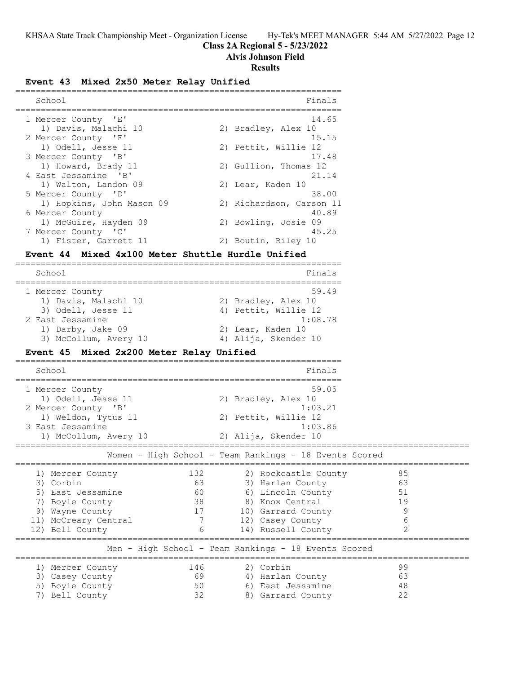# **Class 2A Regional 5 - 5/23/2022**

**Alvis Johnson Field**

### **Results**

# **Event 43 Mixed 2x50 Meter Relay Unified**

| School                    | Finals                   |
|---------------------------|--------------------------|
| 1 Mercer County 'E'       | 14.65                    |
| 1) Davis, Malachi 10      | 2) Bradley, Alex 10      |
| 2 Mercer County 'F'       | 15.15                    |
| 1) Odell, Jesse 11        | 2) Pettit, Willie 12     |
| 3 Mercer County 'B'       | 17.48                    |
| 1) Howard, Brady 11       | 2) Gullion, Thomas 12    |
| 4 East Jessamine 'B'      | 21.14                    |
| 1) Walton, Landon 09      | 2) Lear, Kaden 10        |
| 5 Mercer County 'D'       | 38.00                    |
| 1) Hopkins, John Mason 09 | 2) Richardson, Carson 11 |
| 6 Mercer County           | 40.89                    |
| 1) McGuire, Hayden 09     | 2) Bowling, Josie 09     |
| 7 Mercer County 'C'       | 45.25                    |
| 1) Fister, Garrett 11     | 2) Boutin, Riley 10      |

## **Event 44 Mixed 4x100 Meter Shuttle Hurdle Unified**

| School                | Finals               |
|-----------------------|----------------------|
| 1 Mercer County       | 59.49                |
| 1) Davis, Malachi 10  | 2) Bradley, Alex 10  |
| 3) Odell, Jesse 11    | 4) Pettit, Willie 12 |
| 2 East Jessamine      | 1:08.78              |
| 1) Darby, Jake 09     | 2) Lear, Kaden 10    |
| 3) McCollum, Avery 10 | 4) Alija, Skender 10 |

# **Event 45 Mixed 2x200 Meter Relay Unified**

| School                                                                                                                                 |                                  | Finals                                                                                                                                           |                                             |  |  |  |
|----------------------------------------------------------------------------------------------------------------------------------------|----------------------------------|--------------------------------------------------------------------------------------------------------------------------------------------------|---------------------------------------------|--|--|--|
| 1 Mercer County<br>1) Odell, Jesse 11<br>2 Mercer County 'B'<br>1) Weldon, Tytus 11<br>3 East Jessamine<br>1) McCollum, Avery 10       |                                  | 59.05<br>2) Bradley, Alex 10<br>1:03.21<br>2) Pettit, Willie 12<br>1:03.86<br>2) Alija, Skender 10                                               |                                             |  |  |  |
|                                                                                                                                        |                                  | Women - High School - Team Rankings - 18 Events Scored                                                                                           |                                             |  |  |  |
| 1) Mercer County<br>3) Corbin<br>5) East Jessamine<br>Boyle County<br>7)<br>9) Wayne County<br>11) McCreary Central<br>12) Bell County | 132<br>63<br>60<br>38<br>17<br>7 | 2) Rockcastle County<br>3) Harlan County<br>6) Lincoln County<br>8) Knox Central<br>10) Garrard County<br>12) Casey County<br>14) Russell County | 85<br>63<br>51<br>19<br>6<br>$\mathfrak{D}$ |  |  |  |
| Men - High School - Team Rankings - 18 Events Scored                                                                                   |                                  |                                                                                                                                                  |                                             |  |  |  |
| 1) Mercer County<br>3) Casey County<br>5) Boyle County<br>Bell County<br>7)                                                            | 146<br>69<br>50<br>32            | 2) Corbin<br>4) Harlan County<br>6) East Jessamine<br>8) Garrard County                                                                          | 99<br>63<br>48<br>22                        |  |  |  |